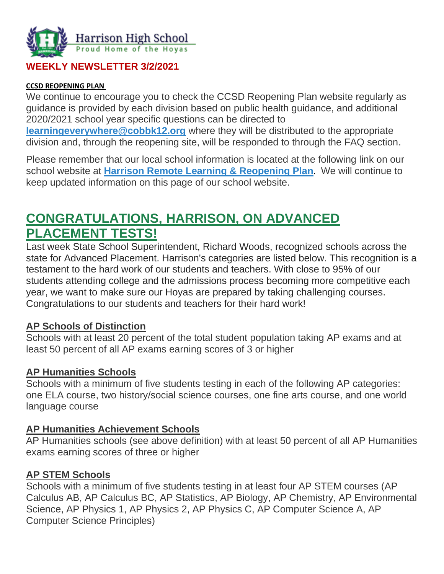

### **WEEKLY NEWSLETTER 3/2/2021**

#### **CCSD REOPENING PLAN**

We continue to encourage you to check the CCSD Reopening Plan website regularly as guidance is provided by each division based on public health guidance, and additional 2020/2021 school year specific questions can be directed to **[learningeverywhere@cobbk12.org](mailto:learningeverywhere@cobbk12.org)** where they will be distributed to the appropriate division and, through the reopening site, will be responded to through the FAQ section.

Please remember that our local school information is located at the following link on our school website at **[Harrison Remote Learning & Reopening Plan](http://www.harrisonhigh.org/Remote-Learning-Information).** We will continue to keep updated information on this page of our school website.

# **CONGRATULATIONS, HARRISON, ON ADVANCED PLACEMENT TESTS!**

Last week State School Superintendent, Richard Woods, recognized schools across the state for Advanced Placement. Harrison's categories are listed below. This recognition is a testament to the hard work of our students and teachers. With close to 95% of our students attending college and the admissions process becoming more competitive each year, we want to make sure our Hoyas are prepared by taking challenging courses. Congratulations to our students and teachers for their hard work!

#### **AP Schools of Distinction**

Schools with at least 20 percent of the total student population taking AP exams and at least 50 percent of all AP exams earning scores of 3 or higher

#### **AP Humanities Schools**

Schools with a minimum of five students testing in each of the following AP categories: one ELA course, two history/social science courses, one fine arts course, and one world language course

#### **AP Humanities Achievement Schools**

AP Humanities schools (see above definition) with at least 50 percent of all AP Humanities exams earning scores of three or higher

#### **AP STEM Schools**

Schools with a minimum of five students testing in at least four AP STEM courses (AP Calculus AB, AP Calculus BC, AP Statistics, AP Biology, AP Chemistry, AP Environmental Science, AP Physics 1, AP Physics 2, AP Physics C, AP Computer Science A, AP Computer Science Principles)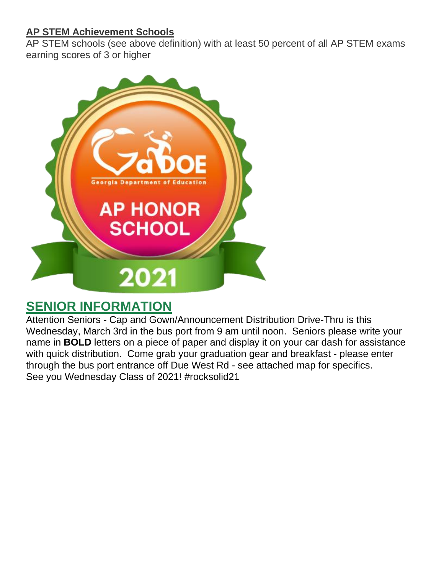### **AP STEM Achievement Schools**

AP STEM schools (see above definition) with at least 50 percent of all AP STEM exams earning scores of 3 or higher



## **SENIOR INFORMATION**

Attention Seniors - Cap and Gown/Announcement Distribution Drive-Thru is this Wednesday, March 3rd in the bus port from 9 am until noon. Seniors please write your name in **BOLD** letters on a piece of paper and display it on your car dash for assistance with quick distribution. Come grab your graduation gear and breakfast - please enter through the bus port entrance off Due West Rd - see attached map for specifics. See you Wednesday Class of 2021! #rocksolid21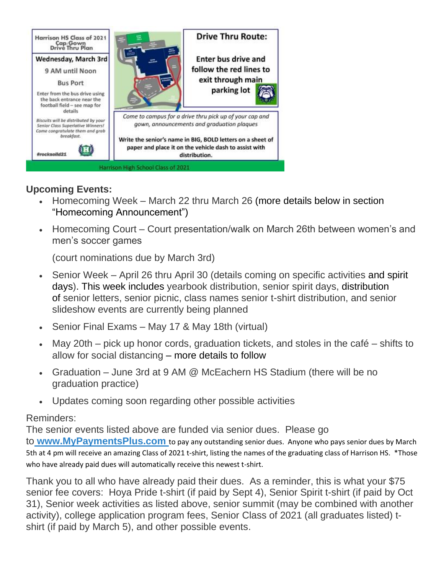

### **Upcoming Events:**

- Homecoming Week March 22 thru March 26 (more details below in section "Homecoming Announcement")
- Homecoming Court Court presentation/walk on March 26th between women's and men's soccer games

(court nominations due by March 3rd)

- Senior Week April 26 thru April 30 (details coming on specific activities and spirit days). This week includes yearbook distribution, senior spirit days, distribution of senior letters, senior picnic, class names senior t-shirt distribution, and senior slideshow events are currently being planned
- Senior Final Exams May 17 & May 18th (virtual)
- May 20th pick up honor cords, graduation tickets, and stoles in the café shifts to allow for social distancing – more details to follow
- Graduation June 3rd at 9 AM @ McEachern HS Stadium (there will be no graduation practice)
- Updates coming soon regarding other possible activities

#### Reminders:

The senior events listed above are funded via senior dues. Please go to **[www.MyPaymentsPlus.com](https://www.mypaymentsplus.com/welcome)** to pay any outstanding senior dues. Anyone who pays senior dues by March 5th at 4 pm will receive an amazing Class of 2021 t-shirt, listing the names of the graduating class of Harrison HS. \*Those who have already paid dues will automatically receive this newest t-shirt.

Thank you to all who have already paid their dues. As a reminder, this is what your \$75 senior fee covers: Hoya Pride t-shirt (if paid by Sept 4), Senior Spirit t-shirt (if paid by Oct 31), Senior week activities as listed above, senior summit (may be combined with another activity), college application program fees, Senior Class of 2021 (all graduates listed) tshirt (if paid by March 5), and other possible events.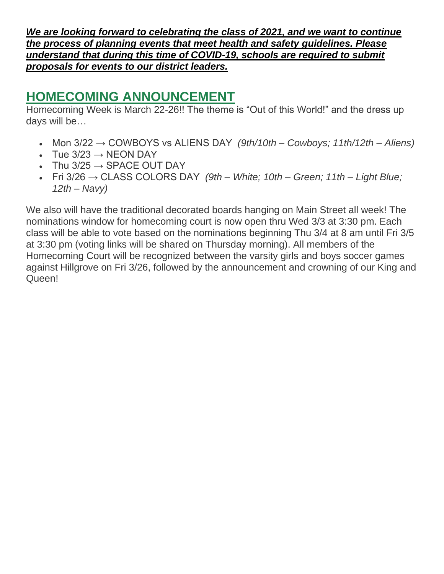*We are looking forward to celebrating the class of 2021, and we want to continue the process of planning events that meet health and safety guidelines. Please understand that during this time of COVID-19, schools are required to submit proposals for events to our district leaders.*

## **HOMECOMING ANNOUNCEMENT**

Homecoming Week is March 22-26!! The theme is "Out of this World!" and the dress up days will be…

- Mon 3/22 → COWBOYS vs ALIENS DAY *(9th/10th – Cowboys; 11th/12th – Aliens)*
- Tue  $3/23 \rightarrow \text{NEON }$  DAY
- Thu  $3/25 \rightarrow$  SPACE OUT DAY
- Fri 3/26 → CLASS COLORS DAY *(9th – White; 10th – Green; 11th – Light Blue; 12th – Navy)*

We also will have the traditional decorated boards hanging on Main Street all week! The nominations window for homecoming court is now open thru Wed 3/3 at 3:30 pm. Each class will be able to vote based on the nominations beginning Thu 3/4 at 8 am until Fri 3/5 at 3:30 pm (voting links will be shared on Thursday morning). All members of the Homecoming Court will be recognized between the varsity girls and boys soccer games against Hillgrove on Fri 3/26, followed by the announcement and crowning of our King and Queen!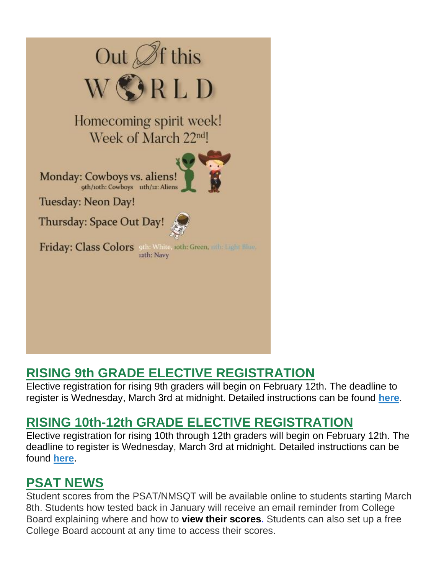

# **RISING 9th GRADE ELECTIVE REGISTRATION**

Elective registration for rising 9th graders will begin on February 12th. The deadline to register is Wednesday, March 3rd at midnight. Detailed instructions can be found **[here](https://cobbk12org-my.sharepoint.com/:b:/g/personal/lucia_poole_cobbk12_org/EbcMCIo9PZlGo552wDBLznABss7orLhcGKkqaYVgrRDbMg?e=LnEHju)**.

# **RISING 10th-12th GRADE ELECTIVE REGISTRATION**

Elective registration for rising 10th through 12th graders will begin on February 12th. The deadline to register is Wednesday, March 3rd at midnight. Detailed instructions can be found **[here](https://cobbk12org-my.sharepoint.com/:b:/g/personal/lucia_poole_cobbk12_org/EYfiEw_Pzp1JibPvq0pWPSUBdIOipbIWo3qRZYQR-XGSDw?e=4FkxdN)**.

# **PSAT NEWS**

Student scores from the PSAT/NMSQT will be available online to students starting March 8th. Students how tested back in January will receive an email reminder from College Board explaining where and how to **[view their scores](https://na01.safelinks.protection.outlook.com/?url=https%3A%2F%2Fclick.e.collegeboard.org%2F%3Fqs%3Df4f21da5e437dfd53b0ce3dd6e046c7c435231b825c861e63524248976540155c2ea12105a026b38cc8b3a139696ef0800c9419a949bad72&data=02%7C01%7Cmandy.sitten%40cobbk12.org%7C7b39158bb49a4accec8408d675da6d0c%7C2fce1dfb919f4938aab8c47f0fc9182d%7C0%7C0%7C636825978335022879&sdata=xB2WbANqtrd2AHBZUALHeOlKJ%2Fdmd7oVOWSMC0kWjto%3D&reserved=0)**. Students can also set up a free College Board account at any time to access their scores.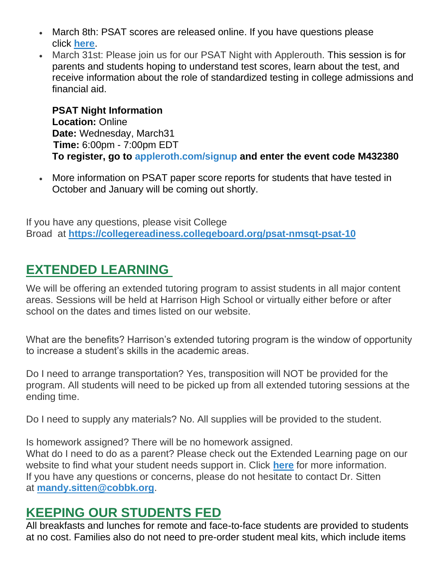- March 8th: PSAT scores are released online. If you have questions please click **[here](https://tb2cdn.schoolwebmasters.com/accnt_42975/site_42976/Documents/PSAT-Now-What-Flyer.pdf)**.
- March 31st: Please join us for our PSAT Night with Applerouth. This session is for parents and students hoping to understand test scores, learn about the test, and receive information about the role of standardized testing in college admissions and financial aid.

**PSAT Night Information Location:** Online **Date:** Wednesday, March31 **Time:** 6:00pm - 7:00pm EDT **To register, go to [appleroth.com/signup](https://www.applerouth.com/signup?code=M432380) and enter the event code M432380**

• More information on PSAT paper score reports for students that have tested in October and January will be coming out shortly.

If you have any questions, please visit College Broad at **<https://collegereadiness.collegeboard.org/psat-nmsqt-psat-10>**

## **EXTENDED LEARNING**

We will be offering an extended tutoring program to assist students in all major content areas. Sessions will be held at Harrison High School or virtually either before or after school on the dates and times listed on our website.

What are the benefits? Harrison's extended tutoring program is the window of opportunity to increase a student's skills in the academic areas.

Do I need to arrange transportation? Yes, transposition will NOT be provided for the program. All students will need to be picked up from all extended tutoring sessions at the ending time.

Do I need to supply any materials? No. All supplies will be provided to the student.

Is homework assigned? There will be no homework assigned. What do I need to do as a parent? Please check out the Extended Learning page on our website to find what your student needs support in. Click **[here](http://www.cobblearning.net/msitten2212/)** for more information. If you have any questions or concerns, please do not hesitate to contact Dr. Sitten at **[mandy.sitten@cobbk.org](mailto:mandy.sitten@cobbk.org)**.

## **KEEPING OUR STUDENTS FED**

All breakfasts and lunches for remote and face-to-face students are provided to students at no cost. Families also do not need to pre-order student meal kits, which include items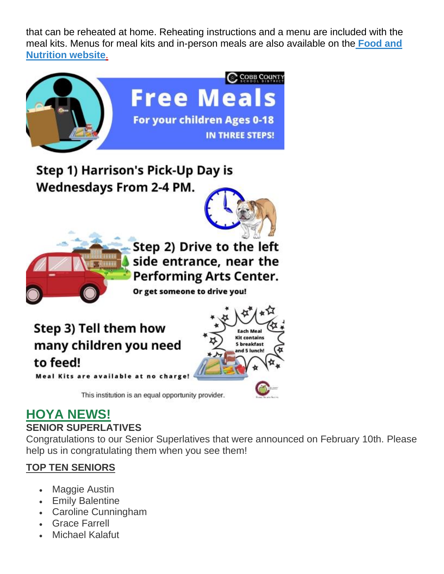that can be reheated at home. Reheating instructions and a menu are included with the meal kits. Menus for meal kits and in-person meals are also available on th[e](http://info.cobbk12.org/centraloffice/foodservices/indexMenus.aspx) **[Food and](http://info.cobbk12.org/centraloffice/foodservices/indexMenus.aspx)  [Nutrition website](http://info.cobbk12.org/centraloffice/foodservices/indexMenus.aspx)**[.](http://info.cobbk12.org/centraloffice/foodservices/indexMenus.aspx)



# **HOYA NEWS!**

#### **SENIOR SUPERLATIVES**

Congratulations to our Senior Superlatives that were announced on February 10th. Please help us in congratulating them when you see them!

### **TOP TEN SENIORS**

- Maggie Austin
- Emily Balentine
- Caroline Cunningham
- Grace Farrell
- **Michael Kalafut**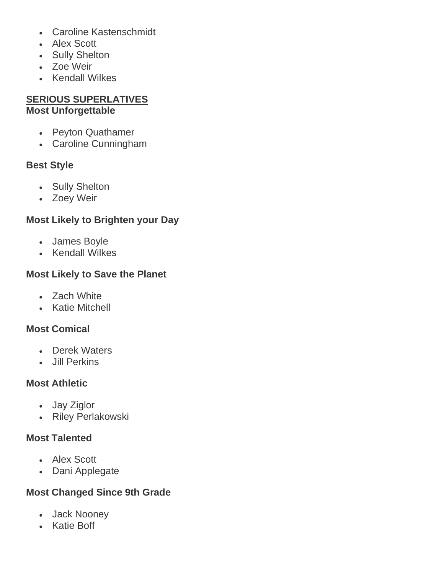- Caroline Kastenschmidt
- Alex Scott
- Sully Shelton
- Zoe Weir
- Kendall Wilkes

### **SERIOUS SUPERLATIVES Most Unforgettable**

- Peyton Quathamer
- Caroline Cunningham

### **Best Style**

- Sully Shelton
- Zoey Weir

### **Most Likely to Brighten your Day**

- James Boyle
- Kendall Wilkes

### **Most Likely to Save the Planet**

- Zach White
- Katie Mitchell

### **Most Comical**

- Derek Waters
- Jill Perkins

#### **Most Athletic**

- Jay Ziglor
- Riley Perlakowski

### **Most Talented**

- Alex Scott
- Dani Applegate

### **Most Changed Since 9th Grade**

- Jack Nooney
- Katie Boff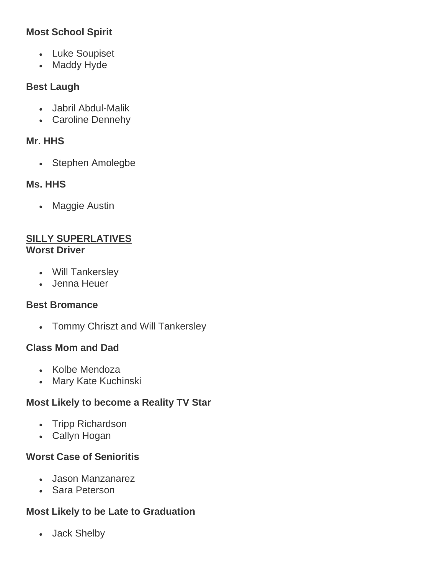### **Most School Spirit**

- Luke Soupiset
- Maddy Hyde

### **Best Laugh**

- Jabril Abdul-Malik
- Caroline Dennehy

### **Mr. HHS**

• Stephen Amolegbe

### **Ms. HHS**

• Maggie Austin

#### **SILLY SUPERLATIVES Worst Driver**

- Will Tankersley
- Jenna Heuer

### **Best Bromance**

• Tommy Chriszt and Will Tankersley

### **Class Mom and Dad**

- Kolbe Mendoza
- Mary Kate Kuchinski

### **Most Likely to become a Reality TV Star**

- Tripp Richardson
- Callyn Hogan

### **Worst Case of Senioritis**

- Jason Manzanarez
- Sara Peterson

### **Most Likely to be Late to Graduation**

• Jack Shelby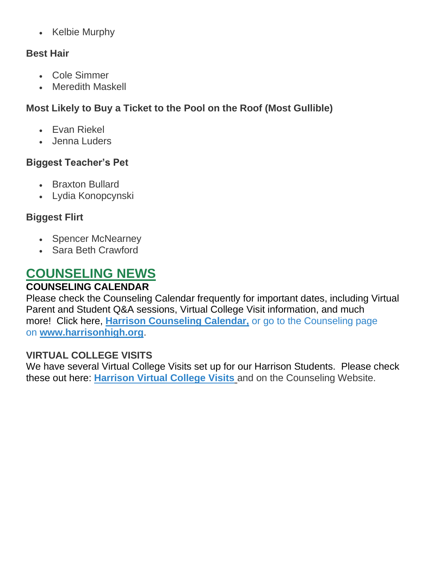• Kelbie Murphy

### **Best Hair**

- Cole Simmer
- Meredith Maskell

### **Most Likely to Buy a Ticket to the Pool on the Roof (Most Gullible)**

- Evan Riekel
- Jenna Luders

### **Biggest Teacher's Pet**

- Braxton Bullard
- Lydia Konopcynski

### **Biggest Flirt**

- Spencer McNearney
- Sara Beth Crawford

# **COUNSELING NEWS**

### **COUNSELING CALENDAR**

Please check the Counseling Calendar frequently for important dates, including Virtual Parent and Student Q&A sessions, Virtual College Visit information, and much more! Click here, **[Harrison Counseling Calendar,](https://calendar.google.com/calendar/embed?src=tasr4q5spailsj1itftjdtn6mk%40group.calendar.google.com&ctz=America%2FNew_York)** or go to the Counseling page on **[www.harrisonhigh.org](http://www.harrisonhigh.org/)**.

### **VIRTUAL COLLEGE VISITS**

We have several Virtual College Visits set up for our Harrison Students. Please check these out here: **[Harrison Virtual College Visits](https://cobbk12org-my.sharepoint.com/:x:/g/personal/leanna_kor_cobbk12_org/EWP6BGgLdCBOvhv5RDRuCVwBqHA2jXXmnAUqr7hXgxEU7w?rtime=t-E10MJN2Eg)** and on the Counseling Website.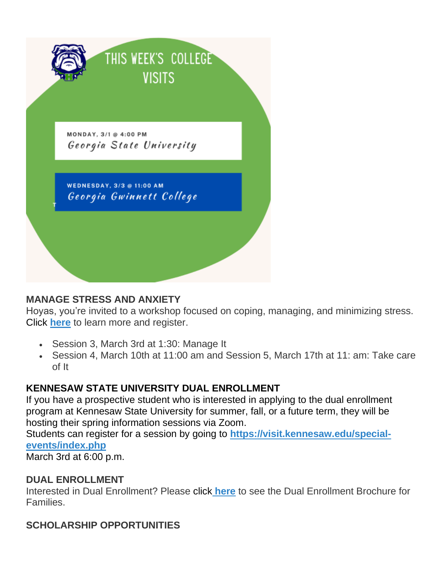

#### **MANAGE STRESS AND ANXIETY**

Hoyas, you're invited to a workshop focused on coping, managing, and minimizing stress. Click **[here](https://drive.google.com/file/d/1o3Nz5NeyGCzuutzSIJDfvUIp52NC12wU/view?usp=sharing)** to learn more and register.

- Session 3, March 3rd at 1:30: Manage It
- Session 4, March 10th at 11:00 am and Session 5, March 17th at 11: am: Take care of It

#### **KENNESAW STATE UNIVERSITY DUAL ENROLLMENT**

If you have a prospective student who is interested in applying to the dual enrollment program at Kennesaw State University for summer, fall, or a future term, they will be hosting their spring information sessions via Zoom.

Students can register for a session by going to **[https://visit.kennesaw.edu/special](https://visit.kennesaw.edu/special-events/index.php)[events/index.php](https://visit.kennesaw.edu/special-events/index.php)**

March 3rd at 6:00 p.m.

#### **DUAL ENROLLMENT**

Interested in Dual Enrollment? Please click **[here](https://drive.google.com/file/d/1eUb30z5062S_msnROjXY7DklX_dBlHKb/view)** to see the Dual Enrollment Brochure for Families.

### **SCHOLARSHIP OPPORTUNITIES**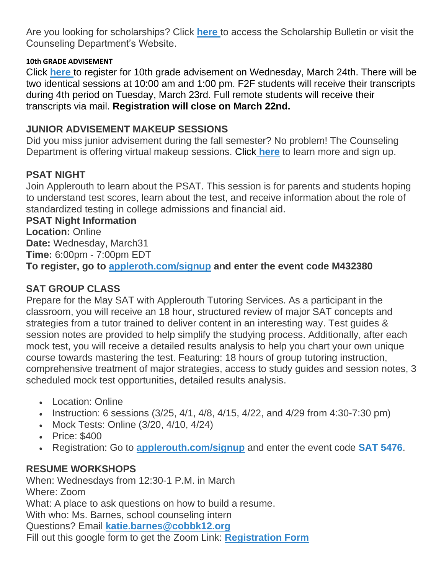Are you looking for scholarships? Click **[here](https://tb2cdn.schoolwebmasters.com/accnt_42975/site_42976/Documents/Scholarship-Bulletin.pdf)** to access the Scholarship Bulletin or visit the Counseling Department's Website.

#### **10th GRADE ADVISEMENT**

Click **[here](https://forms.office.com/Pages/ResponsePage.aspx?id=-x3OL5-ROEmquMR_D8kYLaUD1K_Pl6ZOsbbAKVJkKlFUQU5OSlhFVUdLWThORlVXRlBMUFhNVDczRi4u)** to register for 10th grade advisement on Wednesday, March 24th. There will be two identical sessions at 10:00 am and 1:00 pm. F2F students will receive their transcripts during 4th period on Tuesday, March 23rd. Full remote students will receive their transcripts via mail. **Registration will close on March 22nd.**

#### **JUNIOR ADVISEMENT MAKEUP SESSIONS**

Did you miss junior advisement during the fall semester? No problem! The Counseling Department is offering virtual makeup sessions. Click **[here](https://drive.google.com/file/d/1EEkwRe9K_vRDSs893d6iQK9uTLrFQ0H0/view)** to learn more and sign up.

### **PSAT NIGHT**

Join Applerouth to learn about the PSAT. This session is for parents and students hoping to understand test scores, learn about the test, and receive information about the role of standardized testing in college admissions and financial aid.

#### **PSAT Night Information**

**Location:** Online **Date:** Wednesday, March31 **Time:** 6:00pm - 7:00pm EDT **To register, go to [appleroth.com/signup](https://www.applerouth.com/signup?code=M432380) and enter the event code M432380**

#### **SAT GROUP CLASS**

Prepare for the May SAT with Applerouth Tutoring Services. As a participant in the classroom, you will receive an 18 hour, structured review of major SAT concepts and strategies from a tutor trained to deliver content in an interesting way. Test guides & session notes are provided to help simplify the studying process. Additionally, after each mock test, you will receive a detailed results analysis to help you chart your own unique course towards mastering the test. Featuring: 18 hours of group tutoring instruction, comprehensive treatment of major strategies, access to study guides and session notes, 3 scheduled mock test opportunities, detailed results analysis.

- Location: Online
- Instruction: 6 sessions  $(3/25, 4/1, 4/8, 4/15, 4/22,$  and  $4/29$  from  $4:30-7:30$  pm)
- Mock Tests: Online (3/20, 4/10, 4/24)
- Price: \$400
- Registration: Go to **[applerouth.com/signup](http://www.applerouth.com/signup)** and enter the event code **SAT 5476**.

#### **RESUME WORKSHOPS**

When: Wednesdays from 12:30-1 P.M. in March Where: Zoom What: A place to ask questions on how to build a resume. With who: Ms. Barnes, school counseling intern Questions? Email **[katie.barnes@cobbk12.org](mailto:katie.barnes@cobbk12.org)** Fill out this google form to get the Zoom Link: **[Registration Form](https://forms.gle/XnXhSZDrYnNWHow27)**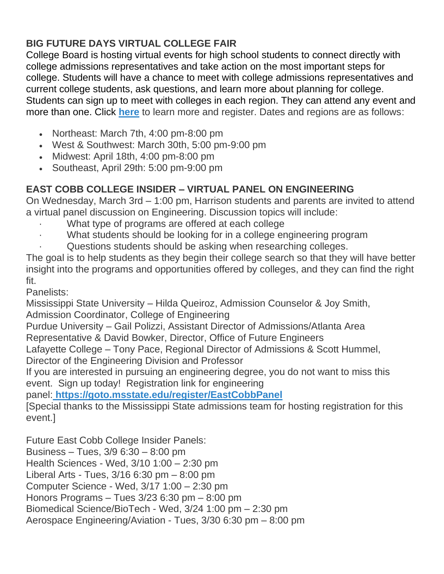### **BIG FUTURE DAYS VIRTUAL COLLEGE FAIR**

College Board is hosting virtual events for high school students to connect directly with college admissions representatives and take action on the most important steps for college. Students will have a chance to meet with college admissions representatives and current college students, ask questions, and learn more about planning for college. Students can sign up to meet with colleges in each region. They can attend any event and more than one. Click **[here](https://pages.collegeboard.org/big-future-days?SFMC_cid=EM438518-&rid=47761625)** to learn more and register. Dates and regions are as follows:

- Northeast: March 7th, 4:00 pm-8:00 pm
- West & Southwest: March 30th, 5:00 pm-9:00 pm
- Midwest: April 18th, 4:00 pm-8:00 pm
- Southeast, April 29th: 5:00 pm-9:00 pm

### **EAST COBB COLLEGE INSIDER – VIRTUAL PANEL ON ENGINEERING**

On Wednesday, March 3rd – 1:00 pm, Harrison students and parents are invited to attend a virtual panel discussion on Engineering. Discussion topics will include:

- What type of programs are offered at each college
- What students should be looking for in a college engineering program
- · Questions students should be asking when researching colleges.

The goal is to help students as they begin their college search so that they will have better insight into the programs and opportunities offered by colleges, and they can find the right fit.

Panelists:

Mississippi State University – Hilda Queiroz, Admission Counselor & Joy Smith, Admission Coordinator, College of Engineering

Purdue University – Gail Polizzi, Assistant Director of Admissions/Atlanta Area Representative & David Bowker, Director, Office of Future Engineers

Lafayette College – Tony Pace, Regional Director of Admissions & Scott Hummel, Director of the Engineering Division and Professor

If you are interested in pursuing an engineering degree, you do not want to miss this event. Sign up today! Registration link for engineering

panel: **<https://goto.msstate.edu/register/EastCobbPanel>**

[Special thanks to the Mississippi State admissions team for hosting registration for this event.]

Future East Cobb College Insider Panels: Business – Tues, 3/9 6:30 – 8:00 pm Health Sciences - Wed, 3/10 1:00 – 2:30 pm Liberal Arts - Tues, 3/16 6:30 pm – 8:00 pm Computer Science - Wed, 3/17 1:00 – 2:30 pm Honors Programs – Tues 3/23 6:30 pm – 8:00 pm Biomedical Science/BioTech - Wed, 3/24 1:00 pm – 2:30 pm Aerospace Engineering/Aviation - Tues, 3/30 6:30 pm – 8:00 pm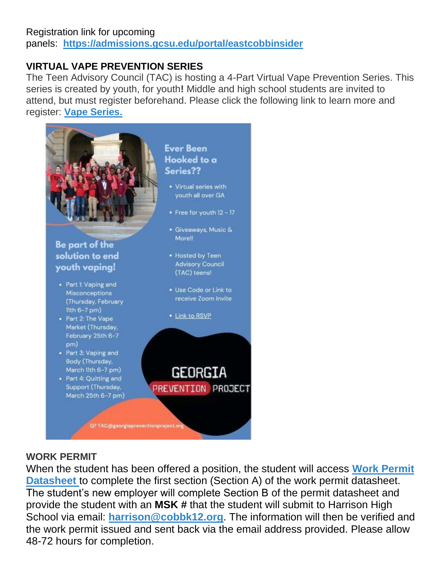#### Registration link for upcoming panels: **<https://admissions.gcsu.edu/portal/eastcobbinsider>**

### **VIRTUAL VAPE PREVENTION SERIES**

The Teen Advisory Council (TAC) is hosting a 4-Part Virtual Vape Prevention Series. This series is created by youth, for youth**!** Middle and high school students are invited to attend, but must register beforehand. Please click the following link to learn more and register: **[Vape Series.](https://nam11.safelinks.protection.outlook.com/?url=https%3A%2F%2Fforms.gle%2FWRAAvWR1qZj7L8NSA&data=04%7C01%7CRobert.Figueroa%40cobbk12.org%7C99fcf51e9cae437b238c08d8cd27b594%7C2fce1dfb919f4938aab8c47f0fc9182d%7C0%7C0%7C637484917737577401%7CUnknown%7CTWFpbGZsb3d8eyJWIjoiMC4wLjAwMDAiLCJQIjoiV2luMzIiLCJBTiI6Ik1haWwiLCJXVCI6Mn0%3D%7C2000&sdata=RPeYVvZqj0Z6mwGYu059uen5MbNSvIynXdISGU1O2Eg%3D&reserved=0)**



### **WORK PERMIT**

When the student has been offered a position, the student will access **[Work Permit](https://nam03.safelinks.protection.outlook.com/?url=https%3A%2F%2Fwww.dol.state.ga.us%2FWS4-MW5%2Fcics.jsp%3FTRANSID%3DWP17%26FRMNAME%3DWP17&data=02%7C01%7CAudra.Skalski%40cobbk12.org%7C856357e8e49d4d50041d08d80cb84415%7C2fce1dfb919f4938aab8c47f0fc9182d%7C0%7C1%7C637273332845584845&sdata=sYK4oD2g8pZe2iY4gQXjSHJq%2FGMstnRRcs7%2F3kUZoWc%3D&reserved=0)  [Datasheet](https://nam03.safelinks.protection.outlook.com/?url=https%3A%2F%2Fwww.dol.state.ga.us%2FWS4-MW5%2Fcics.jsp%3FTRANSID%3DWP17%26FRMNAME%3DWP17&data=02%7C01%7CAudra.Skalski%40cobbk12.org%7C856357e8e49d4d50041d08d80cb84415%7C2fce1dfb919f4938aab8c47f0fc9182d%7C0%7C1%7C637273332845584845&sdata=sYK4oD2g8pZe2iY4gQXjSHJq%2FGMstnRRcs7%2F3kUZoWc%3D&reserved=0)** to complete the first section (Section A) of the work permit datasheet. The student's new employer will complete Section B of the permit datasheet and provide the student with an **MSK #** that the student will submit to Harrison High School via email: **[harrison@cobbk12.org](mailto:harrison@cobbk12.org)**. The information will then be verified and the work permit issued and sent back via the email address provided. Please allow 48-72 hours for completion.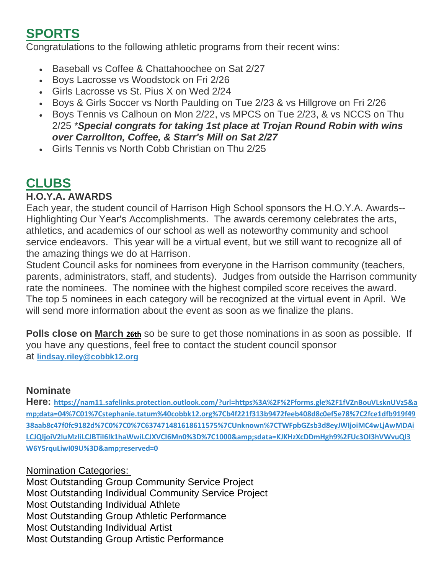# **SPORTS**

Congratulations to the following athletic programs from their recent wins:

- Baseball vs Coffee & Chattahoochee on Sat 2/27
- Boys Lacrosse vs Woodstock on Fri 2/26
- Girls Lacrosse vs St. Pius X on Wed 2/24
- Boys & Girls Soccer vs North Paulding on Tue 2/23 & vs Hillgrove on Fri 2/26
- Boys Tennis vs Calhoun on Mon 2/22, vs MPCS on Tue 2/23, & vs NCCS on Thu 2/25 *\*Special congrats for taking 1st place at Trojan Round Robin with wins over Carrollton, Coffee, & Starr's Mill on Sat 2/27*
- Girls Tennis vs North Cobb Christian on Thu 2/25

# **CLUBS**

### **H.O.Y.A. AWARDS**

Each year, the student council of Harrison High School sponsors the H.O.Y.A. Awards-- Highlighting Our Year's Accomplishments. The awards ceremony celebrates the arts, athletics, and academics of our school as well as noteworthy community and school service endeavors. This year will be a virtual event, but we still want to recognize all of the amazing things we do at Harrison.

Student Council asks for nominees from everyone in the Harrison community (teachers, parents, administrators, staff, and students). Judges from outside the Harrison community rate the nominees. The nominee with the highest compiled score receives the award. The top 5 nominees in each category will be recognized at the virtual event in April. We will send more information about the event as soon as we finalize the plans.

**Polls close on March 26th** so be sure to get those nominations in as soon as possible. If you have any questions, feel free to contact the student council sponsor at **[lindsay.riley@cobbk12.org](mailto:lindsay.riley@cobbk12.org)**

### **Nominate**

**Here: [https://nam11.safelinks.protection.outlook.com/?url=https%3A%2F%2Fforms.gle%2F1fVZnBouVLsknUVz5&a](https://nam11.safelinks.protection.outlook.com/?url=https%3A%2F%2Fforms.gle%2F1fVZnBouVLsknUVz5&data=04%7C01%7Cstephanie.tatum%40cobbk12.org%7Cb4f221f313b9472feeb408d8c0ef5e78%7C2fce1dfb919f4938aab8c47f0fc9182d%7C0%7C0%7C637471481618611575%7CUnknown%7CTWFpbGZsb3d8eyJWIjoiMC4wLjAwMDAiLCJQIjoiV2luMzIiLCJBTiI6Ik1haWwiLCJXVCI6Mn0%3D%7C1000&sdata=KJKHzXcDDmHgh9%2FUc3OI3hVWvuQl3W6Y5rquLiwI09U%3D&reserved=0) [mp;data=04%7C01%7Cstephanie.tatum%40cobbk12.org%7Cb4f221f313b9472feeb408d8c0ef5e78%7C2fce1dfb919f49](https://nam11.safelinks.protection.outlook.com/?url=https%3A%2F%2Fforms.gle%2F1fVZnBouVLsknUVz5&data=04%7C01%7Cstephanie.tatum%40cobbk12.org%7Cb4f221f313b9472feeb408d8c0ef5e78%7C2fce1dfb919f4938aab8c47f0fc9182d%7C0%7C0%7C637471481618611575%7CUnknown%7CTWFpbGZsb3d8eyJWIjoiMC4wLjAwMDAiLCJQIjoiV2luMzIiLCJBTiI6Ik1haWwiLCJXVCI6Mn0%3D%7C1000&sdata=KJKHzXcDDmHgh9%2FUc3OI3hVWvuQl3W6Y5rquLiwI09U%3D&reserved=0) [38aab8c47f0fc9182d%7C0%7C0%7C637471481618611575%7CUnknown%7CTWFpbGZsb3d8eyJWIjoiMC4wLjAwMDAi](https://nam11.safelinks.protection.outlook.com/?url=https%3A%2F%2Fforms.gle%2F1fVZnBouVLsknUVz5&data=04%7C01%7Cstephanie.tatum%40cobbk12.org%7Cb4f221f313b9472feeb408d8c0ef5e78%7C2fce1dfb919f4938aab8c47f0fc9182d%7C0%7C0%7C637471481618611575%7CUnknown%7CTWFpbGZsb3d8eyJWIjoiMC4wLjAwMDAiLCJQIjoiV2luMzIiLCJBTiI6Ik1haWwiLCJXVCI6Mn0%3D%7C1000&sdata=KJKHzXcDDmHgh9%2FUc3OI3hVWvuQl3W6Y5rquLiwI09U%3D&reserved=0)** [LCJQIjoiV2luMzIiLCJBTiI6Ik1haWwiLCJXVCI6Mn0%3D%7C1000&sdata=KJKHzXcDDmHgh9%2FUc3OI3hVWvuQl3](https://nam11.safelinks.protection.outlook.com/?url=https%3A%2F%2Fforms.gle%2F1fVZnBouVLsknUVz5&data=04%7C01%7Cstephanie.tatum%40cobbk12.org%7Cb4f221f313b9472feeb408d8c0ef5e78%7C2fce1dfb919f4938aab8c47f0fc9182d%7C0%7C0%7C637471481618611575%7CUnknown%7CTWFpbGZsb3d8eyJWIjoiMC4wLjAwMDAiLCJQIjoiV2luMzIiLCJBTiI6Ik1haWwiLCJXVCI6Mn0%3D%7C1000&sdata=KJKHzXcDDmHgh9%2FUc3OI3hVWvuQl3W6Y5rquLiwI09U%3D&reserved=0) **[W6Y5rquLiwI09U%3D&reserved=0](https://nam11.safelinks.protection.outlook.com/?url=https%3A%2F%2Fforms.gle%2F1fVZnBouVLsknUVz5&data=04%7C01%7Cstephanie.tatum%40cobbk12.org%7Cb4f221f313b9472feeb408d8c0ef5e78%7C2fce1dfb919f4938aab8c47f0fc9182d%7C0%7C0%7C637471481618611575%7CUnknown%7CTWFpbGZsb3d8eyJWIjoiMC4wLjAwMDAiLCJQIjoiV2luMzIiLCJBTiI6Ik1haWwiLCJXVCI6Mn0%3D%7C1000&sdata=KJKHzXcDDmHgh9%2FUc3OI3hVWvuQl3W6Y5rquLiwI09U%3D&reserved=0)** 

#### Nomination Categories:

Most Outstanding Group Community Service Project Most Outstanding Individual Community Service Project Most Outstanding Individual Athlete Most Outstanding Group Athletic Performance Most Outstanding Individual Artist Most Outstanding Group Artistic Performance